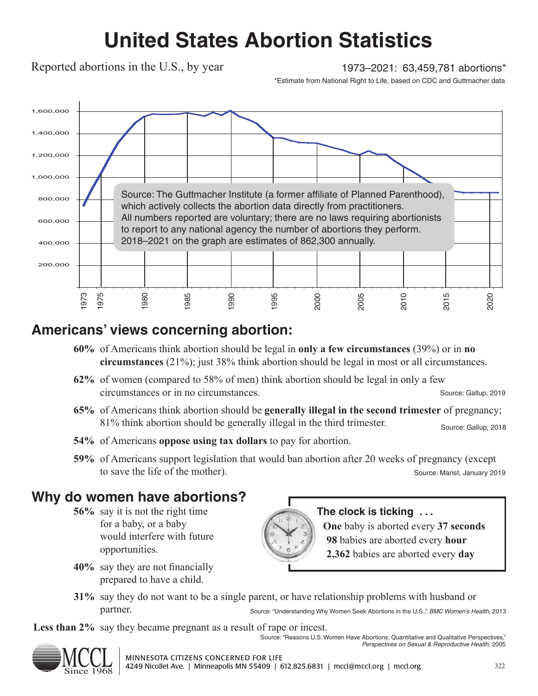# **United States Abortion Statistics**

Reported abortions in the U.S., by year

1973–2021: 63,459,781 abortions\*

\*Estimate from National Right to Life, based on CDC and Guttmacher data



### **Americans' views concerning abortion:**

- **60%** of Americans think abortion should be legal in **only a few circumstances** (39%) or in **no circumstances** (21%); just 38% think abortion should be legal in most or all circumstances.
- **62%** of women (compared to 58% of men) think abortion should be legal in only a few circumstances or in no circumstances. Source: Gallup, 2019
- **65%** of Americans think abortion should be **generally illegal in the second trimester** of pregnancy; 81% think abortion should be generally illegal in the third trimester. Source: Gallup, 2018
- **54%** of Americans **oppose using tax dollars** to pay for abortion.
- **59%** of Americans support legislation that would ban abortion after 20 weeks of pregnancy (except to save the life of the mother). Source: Marist, January 2019

## **Why do women have abortions?**

- **56%** say it is not the right time for a baby, or a baby would interfere with future opportunities.
- **40%** say they are not financially prepared to have a child.



#### **The clock is ticking . . .**

**One** baby is aborted every **37 seconds 98** babies are aborted every **hour 2,362** babies are aborted every **day**

*Perspectives on Sexual & Reproductive Health*, 2005

**31%** say they do not want to be a single parent, or have relationship problems with husband or partner. Source: "Understanding Why Women Seek Abortions in the U.S.," *BMC Women's Health*, 2013

Less than 2% say they became pregnant as a result of rape or incest. Source: "Reasons U.S. Women Have Abortions: Quantitative and Qualitative Perspectives,"